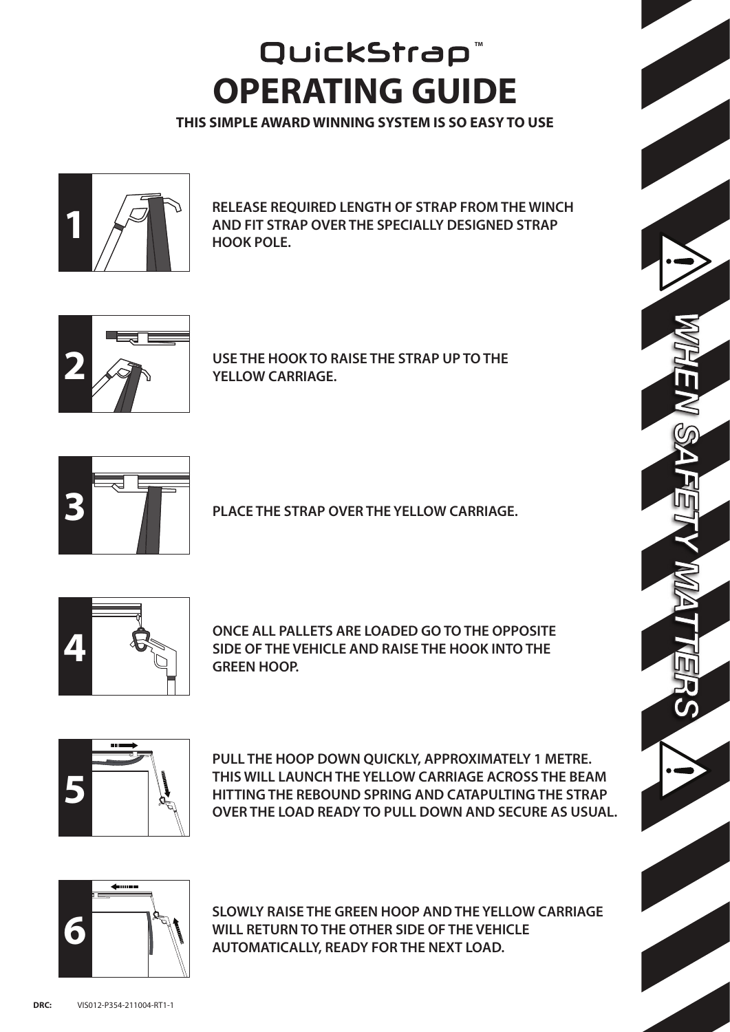## **OPERATING GUIDE** QuickStrap<sup>®</sup>

**THIS SIMPLE AWARD WINNING SYSTEM IS SO EASY TO USE**



**1 RELEASE REQUIRED LENGTH OF STRAP FROM THE WINCH AND FIT STRAP OVER THE SPECIALLY DESIGNED STRAP HOOK POLE.**



**USE THE HOOK TO RAISE THE STRAP UP TO THE YELLOW CARRIAGE.**



**PLACE THE STRAP OVER THE YELLOW CARRIAGE.**



**ONCE ALL PALLETS ARE LOADED GO TO THE OPPOSITE SIDE OF THE VEHICLE AND RAISE THE HOOK INTO THE GREEN HOOP.**



**PULL THE HOOP DOWN QUICKLY, APPROXIMATELY 1 METRE. THIS WILL LAUNCH THE YELLOW CARRIAGE ACROSS THE BEAM HITTING THE REBOUND SPRING AND CATAPULTING THE STRAP OVER THE LOAD READY TO PULL DOWN AND SECURE AS USUAL.**



**SLOWLY RAISE THE GREEN HOOP AND THE YELLOW CARRIAGE WILL RETURN TO THE OTHER SIDE OF THE VEHICLE AUTOMATICALLY, READY FOR THE NEXT LOAD.**